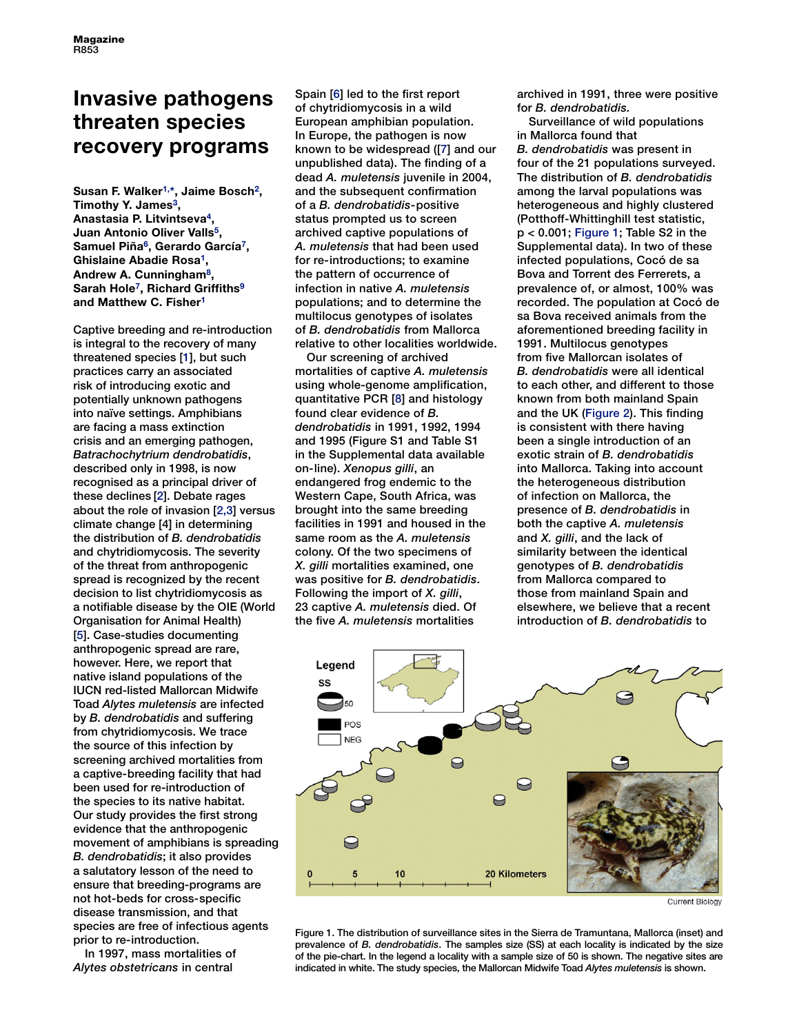## **Invasive pathogens threaten species recovery programs**

**Susan F. Walker1,[\\*,](#page-1-0) Jaime Bosch2, Timothy Y. James<sup>3</sup>, Anastasia P. Litvintseva4, Juan Antonio Oliver Valls<sup>5</sup>, Samuel Piña6, Gerardo García7, Ghislaine Abadie Rosa1, Andrew A. Cunningham8, Sarah Hole7, Richard Griffiths9 and Matthew C. Fisher1**

Captive breeding and re-introduction is integral to the recovery of many threatened species [\[1\]](#page-1-0), but such practices carry an associated risk of introducing exotic and potentially unknown pathogens into naïve settings. Amphibians are facing a mass extinction crisis and an emerging pathogen, *Batrachochytrium dendrobatidis*, described only in 1998, is now recognised as a principal driver of these declines [\[2\]](#page-1-0). Debate rages about the role of invasion [\[2,3\]](#page-1-0) versus climate change [\[4\]](#page-1-0) in determining the distribution of *B. dendrobatidis*  and chytridiomycosis. The severity of the threat from anthropogenic spread is recognized by the recent decision to list chytridiomycosis as a notifiable disease by the OIE (World Organisation for Animal Health) [\[5\]](#page-1-0). Case-studies documenting anthropogenic spread are rare, however. Here, we report that native island populations of the IUCN red-listed Mallorcan Midwife Toad *Alytes muletensis* are infected by *B. dendrobatidis* and suffering from chytridiomycosis. We trace the source of this infection by screening archived mortalities from a captive-breeding facility that had been used for re-introduction of the species to its native habitat. Our study provides the first strong evidence that the anthropogenic movement of amphibians is spreading *B. dendrobatidis*; it also provides a salutatory lesson of the need to ensure that breeding-programs are not hot-beds for cross-specific disease transmission, and that species are free of infectious agents prior to re-introduction.

In 1997, mass mortalities of *Alytes obstetricans* in central

Spain [\[6\]](#page-1-0) led to the first report of chytridiomycosis in a wild European amphibian population. In Europe, the pathogen is now known to be widespread ([\[7\]](#page-1-0) and our unpublished data). The finding of a dead *A. muletensis* juvenile in 2004, and the subsequent confirmation of a *B. dendrobatidis*-positive status prompted us to screen archived captive populations of *A. muletensis* that had been used for re-introductions; to examine the pattern of occurrence of infection in native *A. muletensis* populations; and to determine the multilocus genotypes of isolates of *B. dendrobatidis* from Mallorca relative to other localities worldwide.

Our screening of archived mortalities of captive *A. muletensis* using whole-genome amplification, quantitative PCR [\[8\]](#page-1-0) and histology found clear evidence of *B. dendrobatidis* in 1991, 1992, 1994 and 1995 (Figure S1 and Table S1 in the Supplemental data available on-line). *Xenopus gilli*, an endangered frog endemic to the Western Cape, South Africa, was brought into the same breeding facilities in 1991 and housed in the same room as the *A. muletensis* colony. Of the two specimens of *X. gilli* mortalities examined, one was positive for *B. dendrobatidis*. Following the import of *X. gilli*, 23 captive *A. muletensis* died. Of the five *A. muletensis* mortalities

archived in 1991, three were positive for *B. dendrobatidis.*

Surveillance of wild populations in Mallorca found that *B. dendrobatidis* was present in four of the 21 populations surveyed. The distribution of *B. dendrobatidis*  among the larval populations was heterogeneous and highly clustered (Potthoff-Whittinghill test statistic, p < 0.001; Figure 1; Table S2 in the Supplemental data). In two of these infected populations, Cocó de sa Bova and Torrent des Ferrerets, a prevalence of, or almost, 100% was recorded. The population at Cocó de sa Bova received animals from the aforementioned breeding facility in 1991. Multilocus genotypes from five Mallorcan isolates of *B. dendrobatidis* were all identical to each other, and different to those known from both mainland Spain and the UK [\(Figure 2\).](#page-1-0) This finding is consistent with there having been a single introduction of an exotic strain of *B. dendrobatidis*  into Mallorca. Taking into account the heterogeneous distribution of infection on Mallorca, the presence of *B. dendrobatidis* in both the captive *A. muletensis* and *X. gilli*, and the lack of similarity between the identical genotypes of *B. dendrobatidis* from Mallorca compared to those from mainland Spain and elsewhere, we believe that a recent introduction of *B. dendrobatidis* to



**Current Biology** 

Figure 1. The distribution of surveillance sites in the Sierra de Tramuntana, Mallorca (inset) and prevalence of *B. dendrobatidis*. The samples size (SS) at each locality is indicated by the size of the pie-chart. In the legend a locality with a sample size of 50 is shown. The negative sites are indicated in white. The study species, the Mallorcan Midwife Toad *Alytes muletensis* is shown.